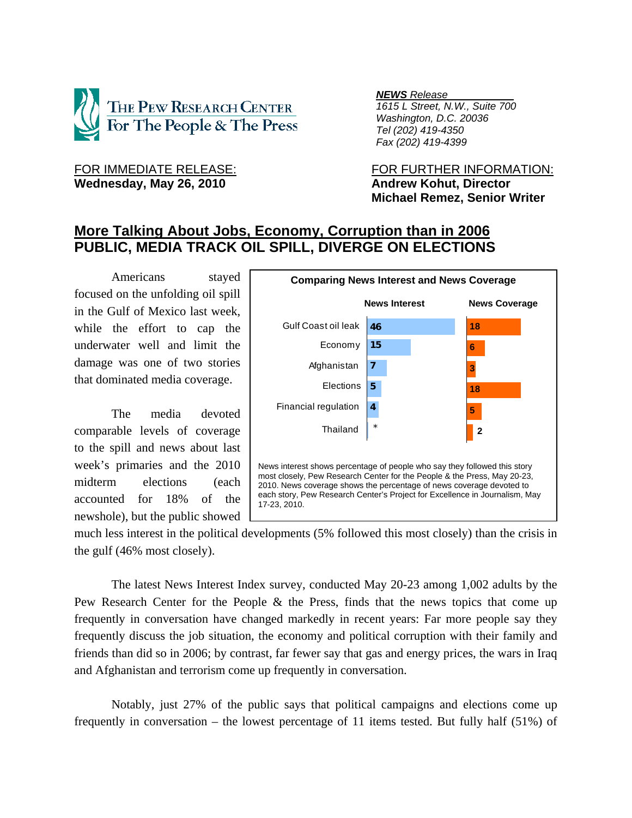

Wednesday, May 26, 2010 **Andrew Kohut, Director** 

*NEWS Release .*

 *1615 L Street, N.W., Suite 700 Washington, D.C. 20036 Tel (202) 419-4350 Fax (202) 419-4399*

FOR IMMEDIATE RELEASE: FOR FURTHER INFORMATION:  **Michael Remez, Senior Writer** 

# **More Talking About Jobs, Economy, Corruption than in 2006 PUBLIC, MEDIA TRACK OIL SPILL, DIVERGE ON ELECTIONS**

Americans stayed focused on the unfolding oil spill in the Gulf of Mexico last week, while the effort to cap the underwater well and limit the damage was one of two stories that dominated media coverage.

The media devoted comparable levels of coverage to the spill and news about last week's primaries and the 2010 midterm elections (each accounted for 18% of the newshole), but the public showed



much less interest in the political developments (5% followed this most closely) than the crisis in the gulf (46% most closely).

The latest News Interest Index survey, conducted May 20-23 among 1,002 adults by the Pew Research Center for the People & the Press, finds that the news topics that come up frequently in conversation have changed markedly in recent years: Far more people say they frequently discuss the job situation, the economy and political corruption with their family and friends than did so in 2006; by contrast, far fewer say that gas and energy prices, the wars in Iraq and Afghanistan and terrorism come up frequently in conversation.

Notably, just 27% of the public says that political campaigns and elections come up frequently in conversation – the lowest percentage of 11 items tested. But fully half (51%) of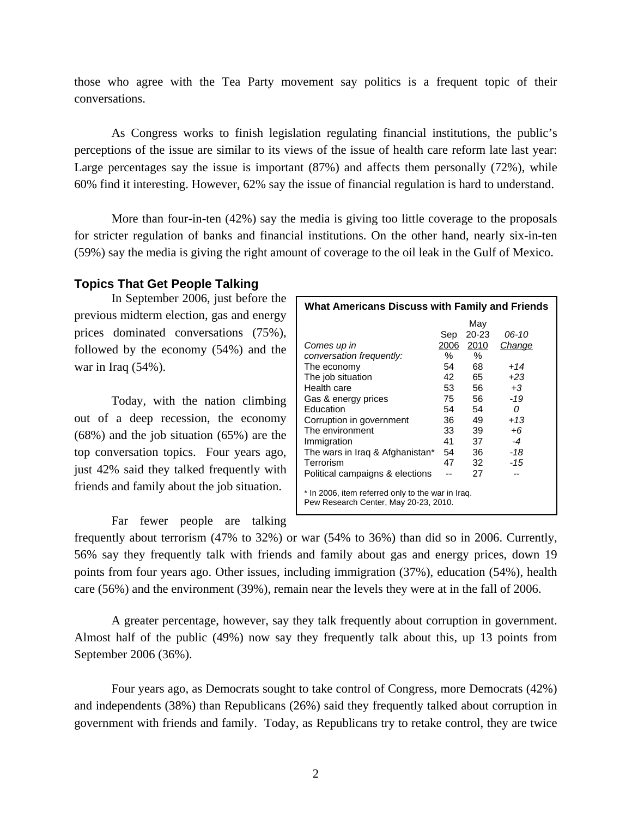those who agree with the Tea Party movement say politics is a frequent topic of their conversations.

As Congress works to finish legislation regulating financial institutions, the public's perceptions of the issue are similar to its views of the issue of health care reform late last year: Large percentages say the issue is important (87%) and affects them personally (72%), while 60% find it interesting. However, 62% say the issue of financial regulation is hard to understand.

More than four-in-ten (42%) say the media is giving too little coverage to the proposals for stricter regulation of banks and financial institutions. On the other hand, nearly six-in-ten (59%) say the media is giving the right amount of coverage to the oil leak in the Gulf of Mexico.

# **Topics That Get People Talking**

In September 2006, just before the previous midterm election, gas and energy prices dominated conversations (75%), followed by the economy (54%) and the war in Iraq (54%).

Today, with the nation climbing out of a deep recession, the economy (68%) and the job situation (65%) are the top conversation topics. Four years ago, just 42% said they talked frequently with friends and family about the job situation.

Far fewer people are talking

| <b>What Americans Discuss with Family and Friends</b>                                      |      |       |        |  |  |  |  |  |
|--------------------------------------------------------------------------------------------|------|-------|--------|--|--|--|--|--|
|                                                                                            |      | May   |        |  |  |  |  |  |
|                                                                                            | Sep  | 20-23 | 06-10  |  |  |  |  |  |
| Comes up in                                                                                | 2006 | 2010  | Change |  |  |  |  |  |
| conversation frequently:                                                                   | ℅    | ℅     |        |  |  |  |  |  |
| The economy                                                                                | 54   | 68    | $+14$  |  |  |  |  |  |
| The job situation                                                                          | 42   | 65    | $+23$  |  |  |  |  |  |
| Health care                                                                                | 53   | 56    | $+3$   |  |  |  |  |  |
| Gas & energy prices                                                                        | 75   | 56    | $-19$  |  |  |  |  |  |
| Education                                                                                  | 54   | 54    | 0      |  |  |  |  |  |
| Corruption in government                                                                   | 36   | 49    | $+13$  |  |  |  |  |  |
| The environment                                                                            | 33   | 39    | +6     |  |  |  |  |  |
| Immigration                                                                                | 41   | 37    | $-4$   |  |  |  |  |  |
| The wars in Iraq & Afghanistan*                                                            | 54   | 36    | -18    |  |  |  |  |  |
| Terrorism                                                                                  | 47   | 32    | -15    |  |  |  |  |  |
| Political campaigns & elections                                                            |      | 27    |        |  |  |  |  |  |
| * In 2006, item referred only to the war in Iraq.<br>Pew Research Center, May 20-23, 2010. |      |       |        |  |  |  |  |  |

frequently about terrorism (47% to 32%) or war (54% to 36%) than did so in 2006. Currently, 56% say they frequently talk with friends and family about gas and energy prices, down 19 points from four years ago. Other issues, including immigration (37%), education (54%), health care (56%) and the environment (39%), remain near the levels they were at in the fall of 2006.

A greater percentage, however, say they talk frequently about corruption in government. Almost half of the public (49%) now say they frequently talk about this, up 13 points from September 2006 (36%).

Four years ago, as Democrats sought to take control of Congress, more Democrats (42%) and independents (38%) than Republicans (26%) said they frequently talked about corruption in government with friends and family. Today, as Republicans try to retake control, they are twice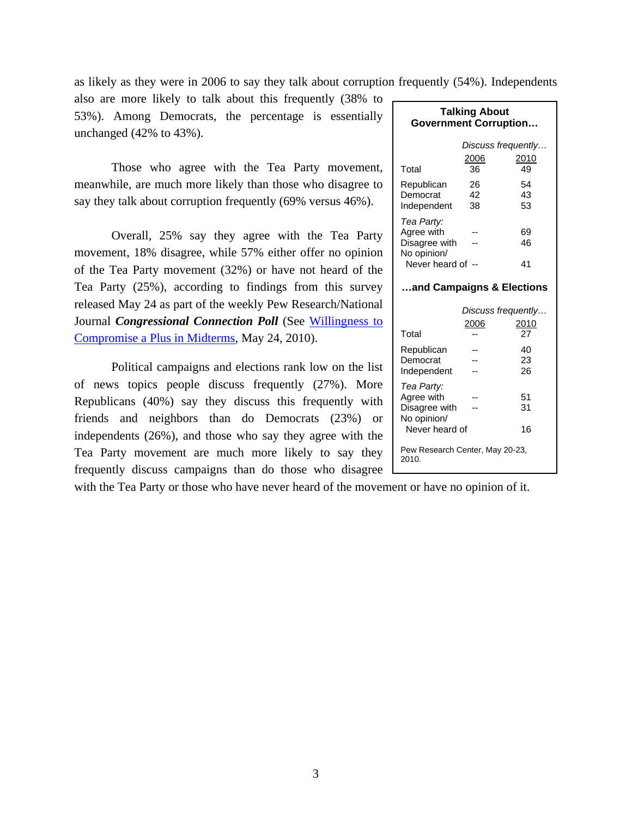as likely as they were in 2006 to say they talk about corruption frequently (54%). Independents

also are more likely to talk about this frequently (38% to 53%). Among Democrats, the percentage is essentially unchanged (42% to 43%).

Those who agree with the Tea Party movement, meanwhile, are much more likely than those who disagree to say they talk about corruption frequently (69% versus 46%).

Overall, 25% say they agree with the Tea Party movement, 18% disagree, while 57% either offer no opinion of the Tea Party movement (32%) or have not heard of the Tea Party (25%), according to findings from this survey released May 24 as part of the weekly Pew Research/National Journal *Congressional Connection Poll* (See Willingness to Compromise a Plus in Midterms, May 24, 2010).

Political campaigns and elections rank low on the list of news topics people discuss frequently (27%). More Republicans (40%) say they discuss this frequently with friends and neighbors than do Democrats (23%) or independents (26%), and those who say they agree with the Tea Party movement are much more likely to say they

| <b>Talking About</b><br><b>Government Corruption</b>     |                    |                    |  |  |  |
|----------------------------------------------------------|--------------------|--------------------|--|--|--|
|                                                          | Discuss frequently |                    |  |  |  |
| Total                                                    | 2006<br>36         | 2010<br>49         |  |  |  |
| Republican<br>Democrat                                   | 26<br>-42          | 54<br>43           |  |  |  |
| Independent                                              | 38                 | 53                 |  |  |  |
| Tea Party:<br>Agree with<br>Disagree with<br>No opinion/ |                    | 69<br>46           |  |  |  |
| Never heard of --                                        |                    | 41                 |  |  |  |
| and Campaigns & Elections                                |                    |                    |  |  |  |
|                                                          |                    | Discuss frequently |  |  |  |
| Total                                                    | 2006               | 2010               |  |  |  |

Republican -- 40 Democrat -- 23 Independent -- 26

Agree with --<br>Disagree with -- 31

Never heard of 16

Pew Research Center, May 20-23,

*Tea Party:* 

2010.

Disagree with --No opinion/

| frequently discuss campaigns than do those who disagree $\Box$                             | <b>2010.</b> |
|--------------------------------------------------------------------------------------------|--------------|
| with the Tea Party or those who have never heard of the movement or have no opinion of it. |              |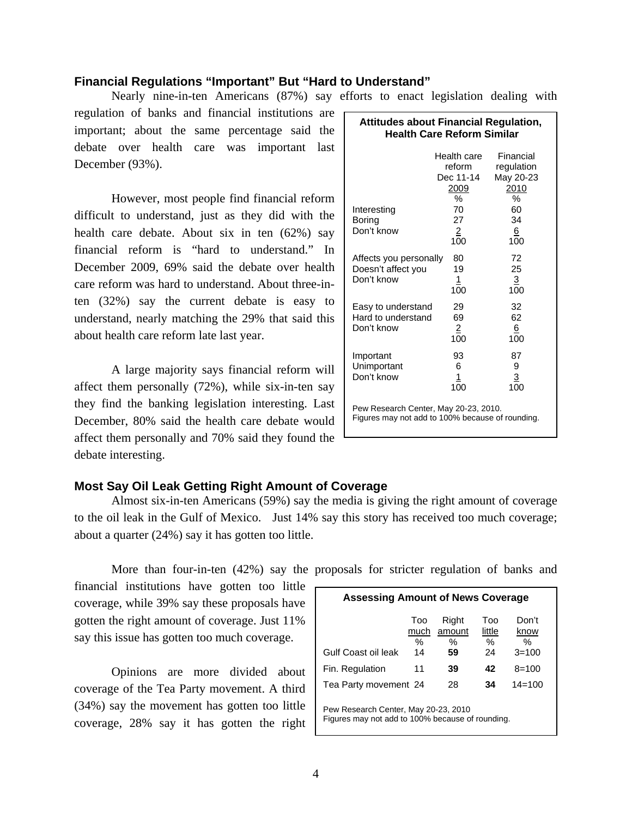# **Financial Regulations "Important" But "Hard to Understand"**

Nearly nine-in-ten Americans (87%) say efforts to enact legislation dealing with

regulation of banks and financial institutions are  $\Gamma$ important; about the same percentage said the debate over health care was important last December (93%).

However, most people find financial reform difficult to understand, just as they did with the health care debate. About six in ten (62%) say financial reform is "hard to understand." In December 2009, 69% said the debate over health care reform was hard to understand. About three-inten (32%) say the current debate is easy to understand, nearly matching the 29% that said this about health care reform late last year.

A large majority says financial reform will affect them personally (72%), while six-in-ten say they find the banking legislation interesting. Last December, 80% said the health care debate would affect them personally and 70% said they found the debate interesting.

| <b>Attitudes about Financial Regulation,</b><br><b>Health Care Reform Similar</b>         |                                                 |                                                   |  |  |  |  |
|-------------------------------------------------------------------------------------------|-------------------------------------------------|---------------------------------------------------|--|--|--|--|
|                                                                                           | Health care<br>reform<br>Dec 11-14<br>2009<br>℅ | Financial<br>regulation<br>May 20-23<br>2010<br>% |  |  |  |  |
| Interesting<br>Boring<br>Don't know                                                       | 70<br>27<br>$\overline{2}$<br>100               | 60<br>34<br>6<br>100                              |  |  |  |  |
| Affects you personally<br>Doesn't affect you<br>Don't know                                | 80<br>19<br>$\frac{1}{100}$                     | 72<br>25<br>$\overline{3}$<br>100                 |  |  |  |  |
| Easy to understand<br>Hard to understand<br>Don't know                                    | 29<br>69<br>$\overline{2}$<br>100               | 32<br>62<br>6<br>100                              |  |  |  |  |
| Important<br>Unimportant<br>Don't know                                                    | 93<br>6<br>1<br>100                             | 87<br>9<br>3<br>100                               |  |  |  |  |
| Pew Research Center, May 20-23, 2010.<br>Figures may not add to 100% because of rounding. |                                                 |                                                   |  |  |  |  |

# **Most Say Oil Leak Getting Right Amount of Coverage**

 Almost six-in-ten Americans (59%) say the media is giving the right amount of coverage to the oil leak in the Gulf of Mexico. Just 14% say this story has received too much coverage; about a quarter (24%) say it has gotten too little.

More than four-in-ten (42%) say the proposals for stricter regulation of banks and

financial institutions have gotten too little coverage, while 39% say these proposals have gotten the right amount of coverage. Just 11% say this issue has gotten too much coverage.

 Opinions are more divided about coverage of the Tea Party movement. A third (34%) say the movement has gotten too little coverage, 28% say it has gotten the right

| <b>Assessing Amount of News Coverage</b>                                                 |                        |                               |                             |                                    |  |  |  |  |
|------------------------------------------------------------------------------------------|------------------------|-------------------------------|-----------------------------|------------------------------------|--|--|--|--|
| Gulf Coast oil leak                                                                      | Too<br>much<br>%<br>14 | Right<br>amount<br>$\%$<br>59 | Too<br>little<br>$\%$<br>24 | Don't<br>know<br>$\%$<br>$3 = 100$ |  |  |  |  |
| Fin. Regulation                                                                          | 11                     | 39                            | 42                          | $8 = 100$                          |  |  |  |  |
| Tea Party movement 24                                                                    |                        | 28                            | 34                          | $14 = 100$                         |  |  |  |  |
| Pew Research Center, May 20-23, 2010<br>Figures may not add to 100% because of rounding. |                        |                               |                             |                                    |  |  |  |  |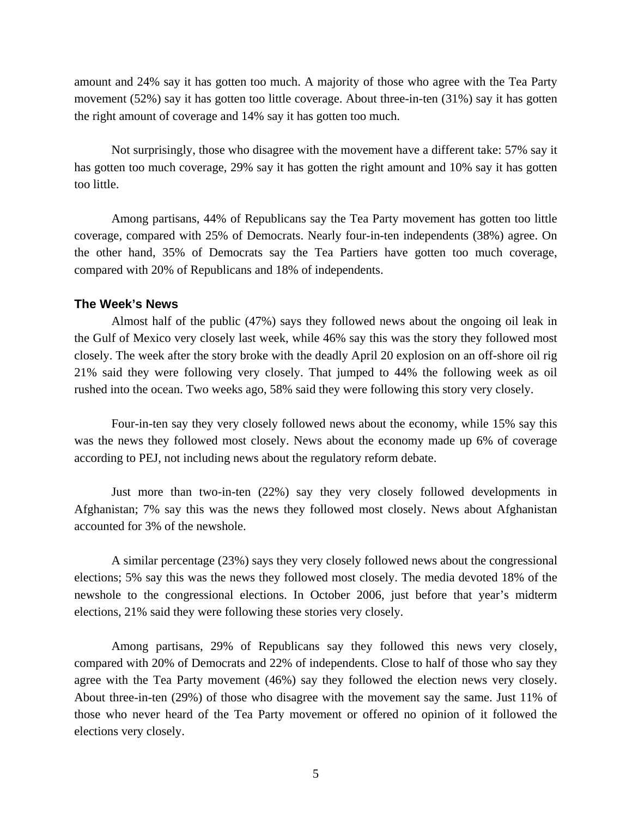amount and 24% say it has gotten too much. A majority of those who agree with the Tea Party movement (52%) say it has gotten too little coverage. About three-in-ten (31%) say it has gotten the right amount of coverage and 14% say it has gotten too much.

 Not surprisingly, those who disagree with the movement have a different take: 57% say it has gotten too much coverage, 29% say it has gotten the right amount and 10% say it has gotten too little.

 Among partisans, 44% of Republicans say the Tea Party movement has gotten too little coverage, compared with 25% of Democrats. Nearly four-in-ten independents (38%) agree. On the other hand, 35% of Democrats say the Tea Partiers have gotten too much coverage, compared with 20% of Republicans and 18% of independents.

## **The Week's News**

Almost half of the public (47%) says they followed news about the ongoing oil leak in the Gulf of Mexico very closely last week, while 46% say this was the story they followed most closely. The week after the story broke with the deadly April 20 explosion on an off-shore oil rig 21% said they were following very closely. That jumped to 44% the following week as oil rushed into the ocean. Two weeks ago, 58% said they were following this story very closely.

 Four-in-ten say they very closely followed news about the economy, while 15% say this was the news they followed most closely. News about the economy made up 6% of coverage according to PEJ, not including news about the regulatory reform debate.

 Just more than two-in-ten (22%) say they very closely followed developments in Afghanistan; 7% say this was the news they followed most closely. News about Afghanistan accounted for 3% of the newshole.

 A similar percentage (23%) says they very closely followed news about the congressional elections; 5% say this was the news they followed most closely. The media devoted 18% of the newshole to the congressional elections. In October 2006, just before that year's midterm elections, 21% said they were following these stories very closely.

 Among partisans, 29% of Republicans say they followed this news very closely, compared with 20% of Democrats and 22% of independents. Close to half of those who say they agree with the Tea Party movement (46%) say they followed the election news very closely. About three-in-ten (29%) of those who disagree with the movement say the same. Just 11% of those who never heard of the Tea Party movement or offered no opinion of it followed the elections very closely.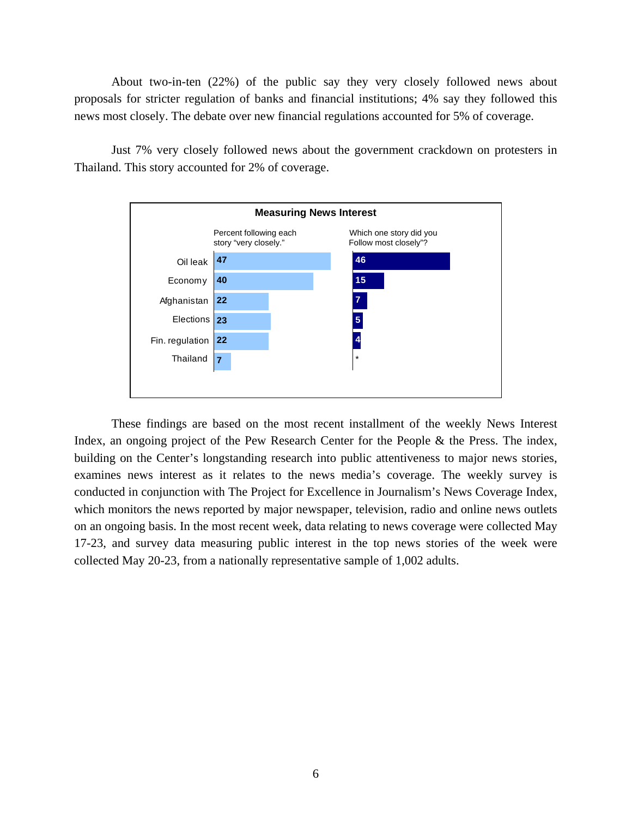About two-in-ten (22%) of the public say they very closely followed news about proposals for stricter regulation of banks and financial institutions; 4% say they followed this news most closely. The debate over new financial regulations accounted for 5% of coverage.

 Just 7% very closely followed news about the government crackdown on protesters in Thailand. This story accounted for 2% of coverage.



These findings are based on the most recent installment of the weekly News Interest Index, an ongoing project of the Pew Research Center for the People & the Press. The index, building on the Center's longstanding research into public attentiveness to major news stories, examines news interest as it relates to the news media's coverage. The weekly survey is conducted in conjunction with The Project for Excellence in Journalism's News Coverage Index, which monitors the news reported by major newspaper, television, radio and online news outlets on an ongoing basis. In the most recent week, data relating to news coverage were collected May 17-23, and survey data measuring public interest in the top news stories of the week were collected May 20-23, from a nationally representative sample of 1,002 adults.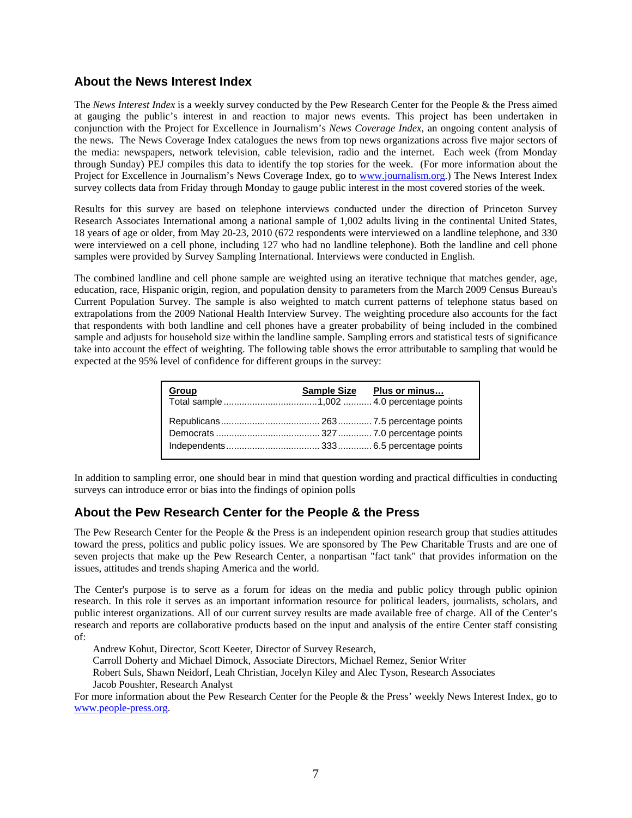# **About the News Interest Index**

The *News Interest Index* is a weekly survey conducted by the Pew Research Center for the People & the Press aimed at gauging the public's interest in and reaction to major news events. This project has been undertaken in conjunction with the Project for Excellence in Journalism's *News Coverage Index*, an ongoing content analysis of the news. The News Coverage Index catalogues the news from top news organizations across five major sectors of the media: newspapers, network television, cable television, radio and the internet. Each week (from Monday through Sunday) PEJ compiles this data to identify the top stories for the week. (For more information about the Project for Excellence in Journalism's News Coverage Index, go to www.journalism.org.) The News Interest Index survey collects data from Friday through Monday to gauge public interest in the most covered stories of the week.

Results for this survey are based on telephone interviews conducted under the direction of Princeton Survey Research Associates International among a national sample of 1,002 adults living in the continental United States, 18 years of age or older, from May 20-23, 2010 (672 respondents were interviewed on a landline telephone, and 330 were interviewed on a cell phone, including 127 who had no landline telephone). Both the landline and cell phone samples were provided by Survey Sampling International. Interviews were conducted in English.

The combined landline and cell phone sample are weighted using an iterative technique that matches gender, age, education, race, Hispanic origin, region, and population density to parameters from the March 2009 Census Bureau's Current Population Survey. The sample is also weighted to match current patterns of telephone status based on extrapolations from the 2009 National Health Interview Survey. The weighting procedure also accounts for the fact that respondents with both landline and cell phones have a greater probability of being included in the combined sample and adjusts for household size within the landline sample. Sampling errors and statistical tests of significance take into account the effect of weighting. The following table shows the error attributable to sampling that would be expected at the 95% level of confidence for different groups in the survey:

| Group | Sample Size Plus or minus |
|-------|---------------------------|
|       |                           |

In addition to sampling error, one should bear in mind that question wording and practical difficulties in conducting surveys can introduce error or bias into the findings of opinion polls

# **About the Pew Research Center for the People & the Press**

The Pew Research Center for the People & the Press is an independent opinion research group that studies attitudes toward the press, politics and public policy issues. We are sponsored by The Pew Charitable Trusts and are one of seven projects that make up the Pew Research Center, a nonpartisan "fact tank" that provides information on the issues, attitudes and trends shaping America and the world.

The Center's purpose is to serve as a forum for ideas on the media and public policy through public opinion research. In this role it serves as an important information resource for political leaders, journalists, scholars, and public interest organizations. All of our current survey results are made available free of charge. All of the Center's research and reports are collaborative products based on the input and analysis of the entire Center staff consisting of:

Andrew Kohut, Director, Scott Keeter, Director of Survey Research,

Carroll Doherty and Michael Dimock, Associate Directors, Michael Remez, Senior Writer

Robert Suls, Shawn Neidorf, Leah Christian, Jocelyn Kiley and Alec Tyson, Research Associates

Jacob Poushter, Research Analyst

For more information about the Pew Research Center for the People & the Press' weekly News Interest Index, go to www.people-press.org.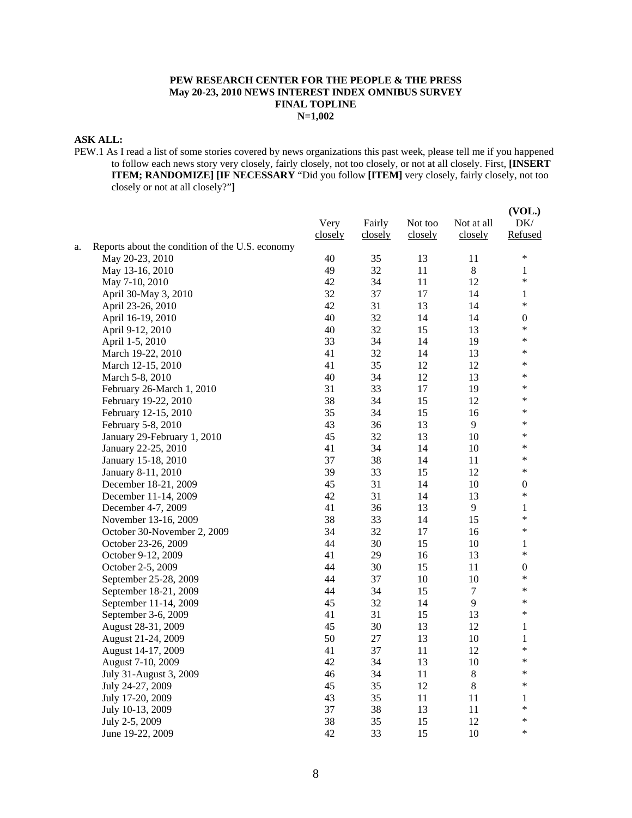### **PEW RESEARCH CENTER FOR THE PEOPLE & THE PRESS May 20-23, 2010 NEWS INTEREST INDEX OMNIBUS SURVEY FINAL TOPLINE N=1,002**

## **ASK ALL:**

PEW.1 As I read a list of some stories covered by news organizations this past week, please tell me if you happened to follow each news story very closely, fairly closely, not too closely, or not at all closely. First, **[INSERT ITEM; RANDOMIZE] [IF NECESSARY** "Did you follow **[ITEM]** very closely, fairly closely, not too closely or not at all closely?"**]**

|    |                                                 | Very<br>closely | Fairly<br>closely | Not too<br>closely | Not at all<br>closely | (VOL.)<br>DK/<br>Refused |
|----|-------------------------------------------------|-----------------|-------------------|--------------------|-----------------------|--------------------------|
| a. | Reports about the condition of the U.S. economy |                 |                   |                    |                       |                          |
|    | May 20-23, 2010                                 | 40              | 35                | 13                 | 11                    | $\ast$                   |
|    | May 13-16, 2010                                 | 49              | 32                | 11                 | $\,8\,$               | 1                        |
|    | May 7-10, 2010                                  | 42              | 34                | 11                 | 12                    | $\ast$                   |
|    | April 30-May 3, 2010                            | 32              | 37                | 17                 | 14                    | $\mathbf{1}$             |
|    | April 23-26, 2010                               | 42              | 31                | 13                 | 14                    | $\ast$                   |
|    | April 16-19, 2010                               | 40              | 32                | 14                 | 14                    | 0                        |
|    | April 9-12, 2010                                | 40              | 32                | 15                 | 13                    | $\ast$                   |
|    | April 1-5, 2010                                 | 33              | 34                | 14                 | 19                    | $\ast$                   |
|    | March 19-22, 2010                               | 41              | 32                | 14                 | 13                    | *                        |
|    | March 12-15, 2010                               | 41              | 35                | 12                 | 12                    | $\ast$                   |
|    | March 5-8, 2010                                 | 40              | 34                | 12                 | 13                    | $\ast$                   |
|    | February 26-March 1, 2010                       | 31              | 33                | 17                 | 19                    | ∗                        |
|    | February 19-22, 2010                            | 38              | 34                | 15                 | 12                    | $\ast$                   |
|    | February 12-15, 2010                            | 35              | 34                | 15                 | 16                    | $\ast$                   |
|    | February 5-8, 2010                              | 43              | 36                | 13                 | 9                     | $\ast$                   |
|    | January 29-February 1, 2010                     | 45              | 32                | 13                 | 10                    | *                        |
|    | January 22-25, 2010                             | 41              | 34                | 14                 | 10                    | $\ast$                   |
|    | January 15-18, 2010                             | 37              | 38                | 14                 | 11                    | ∗                        |
|    | January 8-11, 2010                              | 39              | 33                | 15                 | 12                    | $\ast$                   |
|    | December 18-21, 2009                            | 45              | 31                | 14                 | 10                    | $\boldsymbol{0}$         |
|    | December 11-14, 2009                            | 42              | 31                | 14                 | 13                    | *                        |
|    | December 4-7, 2009                              | 41              | 36                | 13                 | 9                     | 1                        |
|    | November 13-16, 2009                            | 38              | 33                | 14                 | 15                    | *                        |
|    | October 30-November 2, 2009                     | 34              | 32                | 17                 | 16                    | *                        |
|    | October 23-26, 2009                             | 44              | 30                | 15                 | 10                    | 1                        |
|    | October 9-12, 2009                              | 41              | 29                | 16                 | 13                    | $\ast$                   |
|    | October 2-5, 2009                               | 44              | 30                | 15                 | 11                    | $\boldsymbol{0}$         |
|    | September 25-28, 2009                           | 44              | 37                | 10                 | 10                    | $\ast$                   |
|    | September 18-21, 2009                           | 44              | 34                | 15                 | $\overline{7}$        | $\ast$                   |
|    | September 11-14, 2009                           | 45              | 32                | 14                 | 9                     | $\ast$                   |
|    | September 3-6, 2009                             | 41              | 31                | 15                 | 13                    | $\ast$                   |
|    | August 28-31, 2009                              | 45              | 30                | 13                 | 12                    | $\mathbf{1}$             |
|    | August 21-24, 2009                              | 50              | 27                | 13                 | 10                    | 1                        |
|    | August 14-17, 2009                              | 41              | 37                | 11                 | 12                    | $\ast$                   |
|    | August 7-10, 2009                               | 42              | 34                | 13                 | 10                    | $\ast$                   |
|    | July 31-August 3, 2009                          | 46              | 34                | 11                 | $8\,$                 | $\ast$                   |
|    | July 24-27, 2009                                | 45              | 35                | 12                 | $\,8\,$               | $\ast$                   |
|    | July 17-20, 2009                                | 43              | 35                | 11                 | 11                    | 1                        |
|    | July 10-13, 2009                                | 37              | 38                | 13                 | 11                    | $\ast$                   |
|    | July 2-5, 2009                                  | 38              | 35                | 15                 | 12                    | $\ast$                   |
|    | June 19-22, 2009                                | 42              | 33                | 15                 | 10                    | $\ast$                   |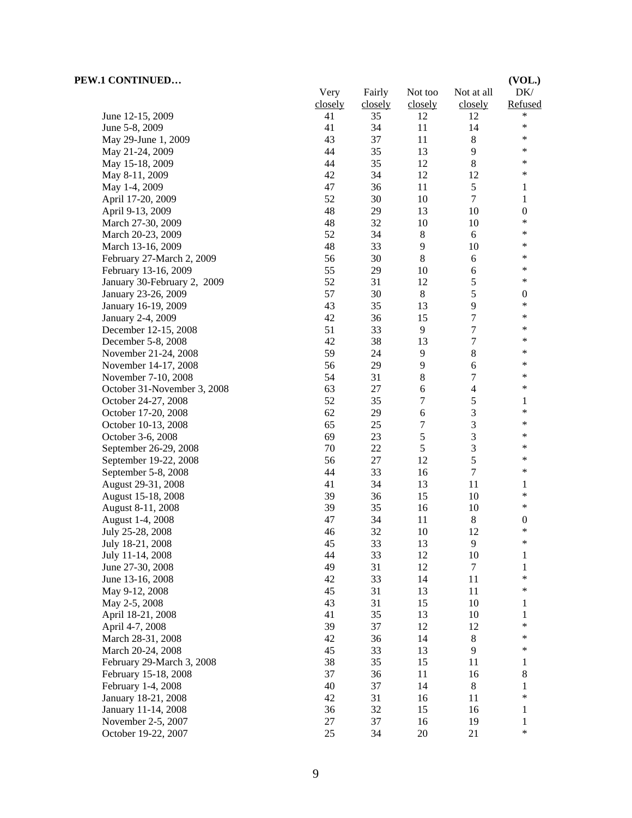| PEW.1 CONTINUED             |         |         |                  |                | (VOL.)           |
|-----------------------------|---------|---------|------------------|----------------|------------------|
|                             | Very    | Fairly  | Not too          | Not at all     | DK/              |
|                             | closely | closely | closely          | closely        | Refused          |
| June 12-15, 2009            | 41      | 35      | 12               | 12             | $\ast$           |
| June 5-8, 2009              | 41      | 34      | 11               | 14             | ∗                |
| May 29-June 1, 2009         | 43      | 37      | 11               | $\,8\,$        | $\ast$           |
| May 21-24, 2009             | 44      | 35      | 13               | 9              | $\ast$           |
| May 15-18, 2009             | 44      | 35      | 12               | $\,8\,$        | $\ast$           |
| May 8-11, 2009              | 42      | 34      | 12               | 12             | $\ast$           |
| May 1-4, 2009               | 47      | 36      | 11               | 5              | 1                |
| April 17-20, 2009           | 52      | 30      | 10               | $\tau$         | 1                |
| April 9-13, 2009            | 48      | 29      | 13               | 10             | $\boldsymbol{0}$ |
| March 27-30, 2009           | 48      | 32      | 10               | 10             | *                |
| March 20-23, 2009           | 52      | 34      | 8                | 6              | *                |
| March 13-16, 2009           | 48      | 33      | 9                | 10             | *                |
| February 27-March 2, 2009   | 56      | 30      | 8                | 6              | ∗                |
| February 13-16, 2009        | 55      | 29      | 10               | $\sqrt{6}$     | $\ast$           |
| January 30-February 2, 2009 | 52      | 31      | 12               | $\sqrt{5}$     | $\ast$           |
| January 23-26, 2009         | 57      | 30      | $\,8\,$          | $\sqrt{5}$     | $\boldsymbol{0}$ |
| January 16-19, 2009         | 43      | 35      | 13               | 9              | ∗                |
| January 2-4, 2009           | 42      | 36      | 15               | 7              | $\ast$           |
| December 12-15, 2008        | 51      | 33      | 9                | $\tau$         | ∗                |
| December 5-8, 2008          | 42      | 38      | 13               | $\tau$         | *                |
| November 21-24, 2008        | 59      | 24      | $\overline{9}$   | $\,8\,$        | *                |
| November 14-17, 2008        | 56      | 29      | 9                | $\sqrt{6}$     | *                |
| November 7-10, 2008         | 54      | 31      | $8\,$            | 7              | *                |
| October 31-November 3, 2008 | 63      | 27      | 6                | $\overline{4}$ | ∗                |
| October 24-27, 2008         | 52      | 35      | 7                | 5              | 1                |
| October 17-20, 2008         | 62      | 29      | 6                | 3              | $\ast$           |
| October 10-13, 2008         | 65      | 25      | $\boldsymbol{7}$ | 3              | $\ast$           |
| October 3-6, 2008           | 69      | 23      | $\sqrt{5}$       | $\mathfrak{Z}$ | *                |
| September 26-29, 2008       | 70      | 22      | 5                | 3              | *                |
| September 19-22, 2008       | 56      | 27      | 12               | 5              | $\ast$           |
| September 5-8, 2008         | 44      | 33      | 16               | $\tau$         | $\ast$           |
| August 29-31, 2008          | 41      | 34      | 13               | 11             | 1                |
| August 15-18, 2008          | 39      | 36      | 15               | 10             | $\ast$           |
| August 8-11, 2008           | 39      | 35      | 16               | 10             | $\ast$           |
| August 1-4, 2008            | 47      | 34      | 11               | $\,8\,$        | $\boldsymbol{0}$ |
| July 25-28, 2008            | 46      | 32      | 10               | 12             | $\ast$           |
| July 18-21, 2008            | 45      | 33      | 13               | 9              | ∗                |
| July 11-14, 2008            | 44      | 33      | 12               | 10             | 1                |
| June 27-30, 2008            | 49      | 31      | 12               | $\tau$         | $\mathbf{1}$     |
| June 13-16, 2008            | 42      | 33      | 14               | 11             | *                |
| May 9-12, 2008              | 45      | 31      | 13               | 11             | *                |
| May 2-5, 2008               | 43      | 31      | 15               | $10\,$         | 1                |
| April 18-21, 2008           | 41      | 35      | 13               | 10             | $\mathbf{1}$     |
| April 4-7, 2008             | 39      | 37      | 12               | 12             | *                |
| March 28-31, 2008           | 42      | 36      | 14               | 8              | ∗                |
| March 20-24, 2008           | 45      | 33      | 13               | 9              | *                |
| February 29-March 3, 2008   | 38      | 35      | 15               | 11             | 1                |
| February 15-18, 2008        | 37      | 36      | 11               | 16             | 8                |
| February 1-4, 2008          | 40      | 37      | 14               | $\,8$          | 1                |
| January 18-21, 2008         | 42      | 31      | 16               | 11             | *                |
| January 11-14, 2008         | 36      | 32      | 15               | 16             | 1                |
| November 2-5, 2007          | 27      | 37      | 16               | 19             | $\mathbf{1}$     |
| October 19-22, 2007         | 25      | 34      | $20\,$           | 21             | $\ast$           |
|                             |         |         |                  |                |                  |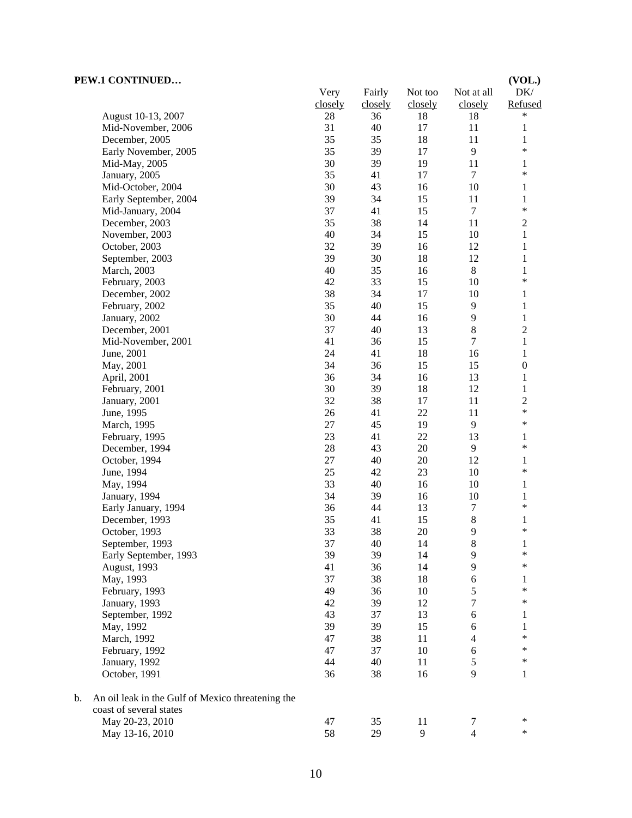|    | (VOL.)<br>PEW.1 CONTINUED                         |          |          |          |                      |                          |
|----|---------------------------------------------------|----------|----------|----------|----------------------|--------------------------|
|    |                                                   | Very     | Fairly   | Not too  | Not at all           | DK/                      |
|    |                                                   | closely  | closely  | closely  | closely              | Refused                  |
|    | August 10-13, 2007                                | 28       | 36       | 18       | 18                   | $\ast$                   |
|    | Mid-November, 2006                                | 31       | 40       | 17       | 11                   | $\mathbf{1}$             |
|    | December, 2005                                    | 35       | 35       | 18       | 11                   | $\mathbf{1}$             |
|    | Early November, 2005                              | 35       | 39       | 17       | 9                    | $\ast$                   |
|    | Mid-May, 2005                                     | 30       | 39       | 19       | 11                   | $\mathbf{1}$             |
|    | January, 2005                                     | 35       | 41       | 17       | $\overline{7}$       | $\ast$                   |
|    | Mid-October, 2004                                 | 30       | 43       | 16       | 10                   | $\mathbf{1}$             |
|    | Early September, 2004                             | 39       | 34       | 15       | 11                   | $\mathbf{1}$             |
|    | Mid-January, 2004                                 | 37       | 41       | 15       | $\tau$               | $\ast$                   |
|    | December, 2003                                    | 35       | 38       | 14       | 11                   | $\boldsymbol{2}$         |
|    | November, 2003                                    | 40       | 34       | 15       | 10                   | 1                        |
|    | October, 2003                                     | 32       | 39       | 16       | 12                   | 1                        |
|    | September, 2003                                   | 39       | 30       | 18       | 12                   | 1                        |
|    | March, 2003                                       | 40       | 35       | 16       | $\,8\,$              | $\mathbf{1}$             |
|    | February, 2003                                    | 42       | 33       | 15       | 10                   | $\ast$                   |
|    | December, 2002                                    | 38       | 34       | 17       | 10                   | $\mathbf{1}$             |
|    | February, 2002                                    | 35       | 40       | 15       | 9                    | $\mathbf{1}$             |
|    | January, 2002                                     | 30       | 44       | 16       | $\overline{9}$       | $\mathbf{1}$             |
|    | December, 2001                                    | 37       | 40       | 13       | $\,8\,$              | $\overline{c}$           |
|    | Mid-November, 2001                                | 41       | 36       | 15       | $\boldsymbol{7}$     | $\mathbf{1}$             |
|    | June, 2001                                        | 24       | 41       | 18       | 16                   | $\mathbf{1}$             |
|    | May, 2001                                         | 34       | 36       | 15       | 15                   | $\boldsymbol{0}$         |
|    | April, 2001                                       | 36       | 34       | 16       | 13                   | 1                        |
|    | February, 2001                                    | 30<br>32 | 39       | 18       | 12<br>11             | 1                        |
|    | January, 2001                                     |          | 38       | 17<br>22 |                      | $\overline{c}$<br>$\ast$ |
|    | June, 1995                                        | 26<br>27 | 41<br>45 | 19       | 11<br>$\overline{9}$ | $\ast$                   |
|    | March, 1995                                       | 23       | 41       | $22\,$   | 13                   | $\mathbf{1}$             |
|    | February, 1995<br>December, 1994                  | 28       | 43       | 20       | 9                    | $\ast$                   |
|    | October, 1994                                     | 27       | 40       | $20\,$   | 12                   | $\mathbf{1}$             |
|    | June, 1994                                        | 25       | 42       | 23       | 10                   | $\ast$                   |
|    | May, 1994                                         | 33       | 40       | 16       | 10                   | $\mathbf{1}$             |
|    | January, 1994                                     | 34       | 39       | 16       | 10                   | $\mathbf{1}$             |
|    | Early January, 1994                               | 36       | 44       | 13       | $\tau$               | $\ast$                   |
|    | December, 1993                                    | 35       | 41       | 15       | $\,8\,$              | 1                        |
|    | October, 1993                                     | 33       | 38       | $20\,$   | 9                    | $\ast$                   |
|    | September, 1993                                   | 37       | 40       | 14       | 8                    | $\mathbf{1}$             |
|    | Early September, 1993                             | 39       | 39       | 14       | 9                    | $\ast$                   |
|    | August, 1993                                      | 41       | 36       | 14       | 9                    | $\ast$                   |
|    | May, 1993                                         | 37       | 38       | 18       | 6                    | 1                        |
|    | February, 1993                                    | 49       | 36       | 10       | 5                    | $\ast$                   |
|    | January, 1993                                     | 42       | 39       | 12       | 7                    | $\ast$                   |
|    | September, 1992                                   | 43       | 37       | 13       | 6                    | 1                        |
|    | May, 1992                                         | 39       | 39       | 15       | 6                    | 1                        |
|    | March, 1992                                       | 47       | 38       | 11       | 4                    | $\ast$                   |
|    | February, 1992                                    | 47       | 37       | 10       | 6                    | $\ast$                   |
|    | January, 1992                                     | 44       | 40       | 11       | 5                    | $\ast$                   |
|    | October, 1991                                     | 36       | 38       | 16       | 9                    | 1                        |
| b. | An oil leak in the Gulf of Mexico threatening the |          |          |          |                      |                          |
|    | coast of several states                           |          |          |          |                      | $\ast$                   |
|    | May 20-23, 2010                                   | 47       | 35       | 11       | 7                    | $\ast$                   |
|    | May 13-16, 2010                                   | 58       | 29       | 9        | $\overline{4}$       |                          |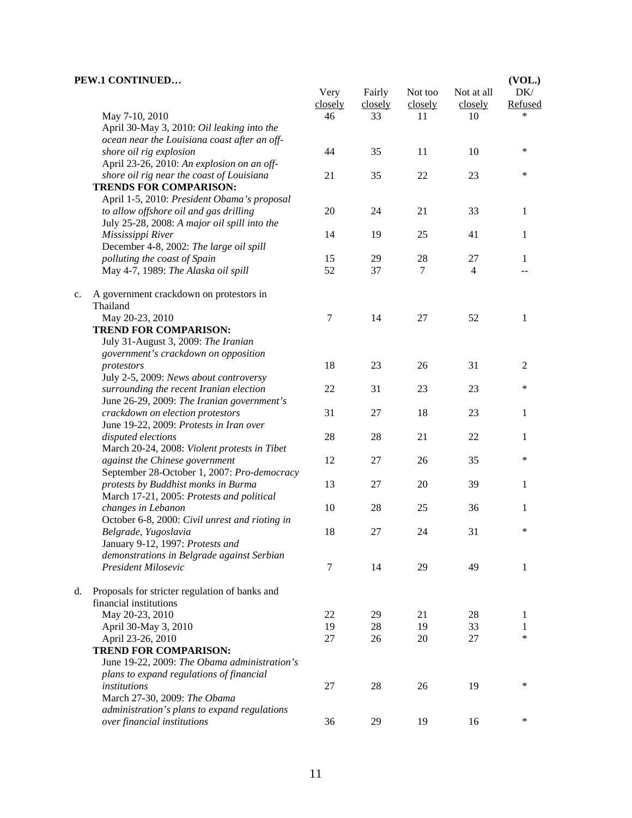|    | PEW.1 CONTINUED                                                            | Very    | Fairly  | Not too | Not at all | (VOL.)<br>DK/  |
|----|----------------------------------------------------------------------------|---------|---------|---------|------------|----------------|
|    |                                                                            | closely | closely | closely | closely    | Refused        |
|    | May 7-10, 2010                                                             | 46      | 33      | 11      | 10         |                |
|    | April 30-May 3, 2010: Oil leaking into the                                 |         |         |         |            |                |
|    | ocean near the Louisiana coast after an off-                               |         |         |         |            |                |
|    | shore oil rig explosion                                                    | 44      | 35      | 11      | 10         | *              |
|    | April 23-26, 2010: An explosion on an off-                                 |         |         |         |            |                |
|    | shore oil rig near the coast of Louisiana<br><b>TRENDS FOR COMPARISON:</b> | 21      | 35      | 22      | 23         | $\ast$         |
|    | April 1-5, 2010: President Obama's proposal                                |         |         |         |            |                |
|    | to allow offshore oil and gas drilling                                     | 20      | 24      | 21      | 33         | 1              |
|    | July 25-28, 2008: A major oil spill into the                               |         |         |         |            |                |
|    | Mississippi River                                                          | 14      | 19      | 25      | 41         | 1              |
|    | December 4-8, 2002: The large oil spill                                    |         |         |         |            |                |
|    | polluting the coast of Spain                                               | 15      | 29      | 28      | 27         | 1              |
|    | May 4-7, 1989: The Alaska oil spill                                        | 52      | 37      | $\tau$  | 4          |                |
| c. | A government crackdown on protestors in<br>Thailand                        |         |         |         |            |                |
|    | May 20-23, 2010                                                            | 7       | 14      | 27      | 52         | 1              |
|    | <b>TREND FOR COMPARISON:</b>                                               |         |         |         |            |                |
|    | July 31-August 3, 2009: The Iranian                                        |         |         |         |            |                |
|    | government's crackdown on opposition                                       |         |         |         |            |                |
|    | protestors                                                                 | 18      | 23      | 26      | 31         | $\mathfrak{2}$ |
|    | July 2-5, 2009: News about controversy                                     |         |         |         |            |                |
|    | surrounding the recent Iranian election                                    | 22      | 31      | 23      | 23         | $\ast$         |
|    | June 26-29, 2009: The Iranian government's                                 |         |         |         |            |                |
|    | crackdown on election protestors                                           | 31      | 27      | 18      | 23         | 1              |
|    | June 19-22, 2009: Protests in Iran over                                    |         |         |         |            |                |
|    | disputed elections                                                         | 28      | 28      | 21      | 22         | 1              |
|    | March 20-24, 2008: Violent protests in Tibet                               |         |         |         |            |                |
|    | against the Chinese government                                             | 12      | 27      | 26      | 35         | *              |
|    | September 28-October 1, 2007: Pro-democracy                                |         |         |         |            |                |
|    | protests by Buddhist monks in Burma                                        | 13      | 27      | 20      | 39         | 1              |
|    | March 17-21, 2005: Protests and political                                  | 10      | 28      |         | 36         |                |
|    | changes in Lebanon                                                         |         |         | 25      |            | 1              |
|    | October 6-8, 2000: Civil unrest and rioting in<br>Belgrade, Yugoslavia     | 18      | 27      | 24      | 31         | $\ast$         |
|    | January 9-12, 1997: Protests and                                           |         |         |         |            |                |
|    | demonstrations in Belgrade against Serbian                                 |         |         |         |            |                |
|    | President Milosevic                                                        | 7       | 14      | 29      | 49         | 1              |
|    |                                                                            |         |         |         |            |                |
| d. | Proposals for stricter regulation of banks and                             |         |         |         |            |                |
|    | financial institutions                                                     |         |         |         |            |                |
|    | May 20-23, 2010                                                            | 22      | 29      | 21      | 28         | 1              |
|    | April 30-May 3, 2010                                                       | 19      | 28      | 19      | 33         | 1              |
|    | April 23-26, 2010                                                          | 27      | 26      | 20      | 27         | *              |
|    | <b>TREND FOR COMPARISON:</b>                                               |         |         |         |            |                |
|    | June 19-22, 2009: The Obama administration's                               |         |         |         |            |                |
|    | plans to expand regulations of financial                                   |         |         |         |            |                |
|    | institutions                                                               | 27      | 28      | 26      | 19         | *              |
|    | March 27-30, 2009: The Obama                                               |         |         |         |            |                |
|    | administration's plans to expand regulations                               |         |         |         |            | ∗              |
|    | over financial institutions                                                | 36      | 29      | 19      | 16         |                |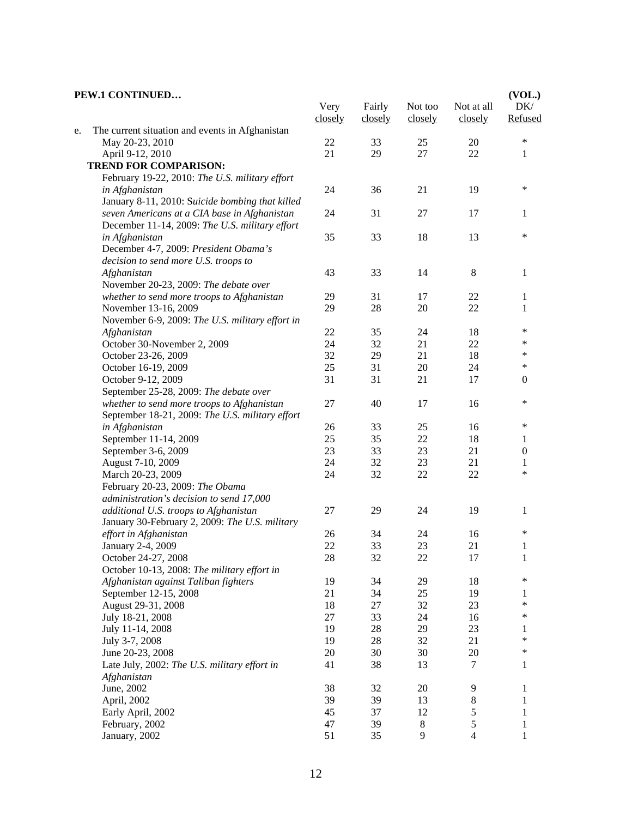#### **PEW.1 CONTINUED…** Very closely Fairly closely Not too closely Not at all closely **(VOL.)**  DK/ Refused e. The current situation and events in Afghanistan May 20-23, 2010 22 33 25 20 \* April 9-12, 2010 21 29 27 22 1  **TREND FOR COMPARISON:** February 19-22, 2010: *The U.S. military effort in Afghanistan* 24 36 21 19 \* January 8-11, 2010: S*uicide bombing that killed seven Americans at a CIA base in Afghanistan* 24 31 27 17 1 December 11-14, 2009: *The U.S. military effort in Afghanistan* 35 33 18 13 \* December 4-7, 2009: *President Obama's decision to send more U.S. troops to Afghanistan* 43 33 14 8 1 November 20-23, 2009: *The debate over whether to send more troops to Afghanistan* 29 31 17 22 1 November 13-16, 2009 29 28 20 22 1 November 6-9, 2009: *The U.S. military effort in Afghanistan* 22 35 24 18 \* October 30-November 2, 2009<br>
October 23-26, 2009<br>
24 32 21 22 \*<br>
29 21 18 \* October 23-26, 2009 32 29 21 18 \*<br>October 16 19 2009 25 31 20 24 \* October 16-19, 2009 25 25 31 20 24 October 9-12, 2009 31 31 21 17 0 September 25-28, 2009: *The debate over whether to send more troops to Afghanistan* 27 40 17 16 \* September 18-21, 2009: *The U.S. military effort in Afghanistan* 26 33 25 16 \* September 11-14, 2009 25 35 22 18 1 September 3-6, 2009 23 23 23 21 0 August 7-10, 2009 24 24 32 23 21 1 March 20-23, 2009 24 32 22 <sup>\*</sup> February 20-23, 2009: *The Obama administration's decision to send 17,000 additional U.S. troops to Afghanistan* 27 29 24 19 1 January 30-February 2, 2009: *The U.S. military effort in Afghanistan* 26 34 24 16 \* January 2-4, 2009 22 33 23 21 1 October 24-27, 2008 28 22 22 17 1 October 10-13, 2008: *The military effort in Afghanistan against Taliban fighters* 19 34 29 18 \* September 12-15, 2008 21 34 25 19 1 August 29-31, 2008 18 27 32 23 \* July 18-21, 2008 27 33 24 16 \* July 11-14, 2008 19 28 29 23 1 July 3-7, 2008 19 28 32 21 \* June 20-23, 2008 20 20 30 30 20  $\ast$ Late July, 2002: *The U.S. military effort in Afghanistan* 41 38 13 7 1 June, 2002 38 32 20 9 1 April, 2002 39 39 39 13 8 1 Early April, 2002 45 37 12 5 1 February, 2002 47 39 8 5 1 January, 2002 51 51 35 9 4 1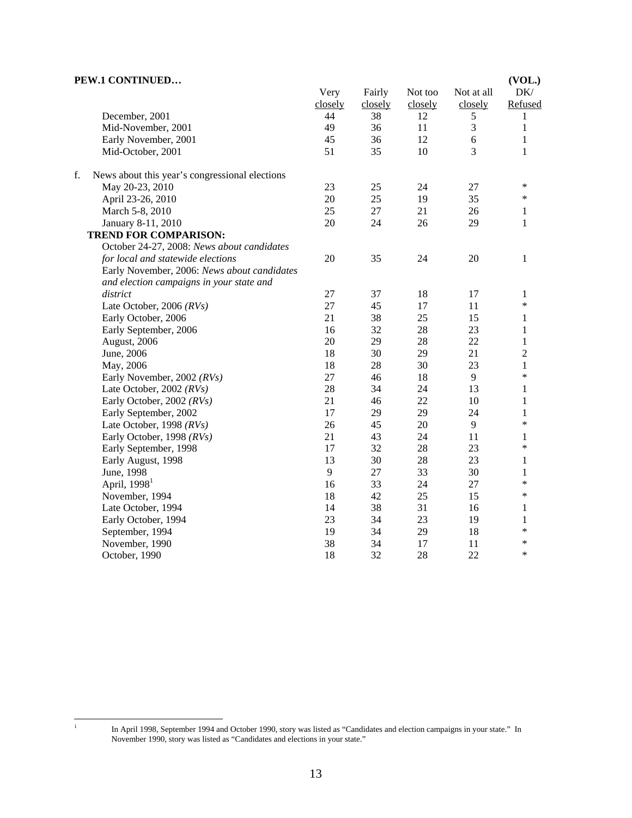| PEW.1 CONTINUED                                      |         |         |         |            | (VOL.)         |
|------------------------------------------------------|---------|---------|---------|------------|----------------|
|                                                      | Very    | Fairly  | Not too | Not at all | DK/            |
|                                                      | closely | closely | closely | closely    | Refused        |
| December, 2001                                       | 44      | 38      | 12      | 5          | 1              |
| Mid-November, 2001                                   | 49      | 36      | 11      | 3          | $\mathbf{1}$   |
| Early November, 2001                                 | 45      | 36      | 12      | $\epsilon$ | $\mathbf{1}$   |
| Mid-October, 2001                                    | 51      | 35      | 10      | 3          | 1              |
| f.<br>News about this year's congressional elections |         |         |         |            |                |
| May 20-23, 2010                                      | 23      | 25      | 24      | 27         | $\ast$         |
| April 23-26, 2010                                    | 20      | 25      | 19      | 35         | $\ast$         |
| March 5-8, 2010                                      | 25      | 27      | 21      | 26         | 1              |
| January 8-11, 2010                                   | 20      | 24      | 26      | 29         | 1              |
| <b>TREND FOR COMPARISON:</b>                         |         |         |         |            |                |
| October 24-27, 2008: News about candidates           |         |         |         |            |                |
| for local and statewide elections                    | 20      | 35      | 24      | 20         | 1              |
| Early November, 2006: News about candidates          |         |         |         |            |                |
| and election campaigns in your state and             |         |         |         |            |                |
| district                                             | 27      | 37      | 18      | 17         | 1              |
| Late October, 2006 (RVs)                             | 27      | 45      | 17      | 11         | $\ast$         |
| Early October, 2006                                  | 21      | 38      | 25      | 15         | 1              |
| Early September, 2006                                | 16      | 32      | 28      | 23         | $\mathbf{1}$   |
| August, 2006                                         | 20      | 29      | 28      | 22         | $\mathbf{1}$   |
| June, 2006                                           | 18      | 30      | 29      | 21         | $\overline{2}$ |
| May, 2006                                            | 18      | 28      | 30      | 23         | $\mathbf{1}$   |
| Early November, 2002 (RVs)                           | 27      | 46      | 18      | 9          | $\ast$         |
| Late October, 2002 $(RVs)$                           | 28      | 34      | 24      | 13         | 1              |
| Early October, 2002 (RVs)                            | 21      | 46      | 22      | 10         | $\mathbf{1}$   |
| Early September, 2002                                | 17      | 29      | 29      | 24         | $\mathbf{1}$   |
| Late October, 1998 (RVs)                             | 26      | 45      | 20      | 9          | $\ast$         |
| Early October, 1998 (RVs)                            | 21      | 43      | 24      | 11         | 1              |
| Early September, 1998                                | 17      | 32      | 28      | 23         | *              |
| Early August, 1998                                   | 13      | 30      | 28      | 23         | 1              |
| June, 1998                                           | 9       | 27      | 33      | 30         | $\mathbf{1}$   |
| April, $19981$                                       | 16      | 33      | 24      | 27         | *              |
| November, 1994                                       | 18      | 42      | 25      | 15         | ∗              |
| Late October, 1994                                   | 14      | 38      | 31      | 16         | 1              |
| Early October, 1994                                  | 23      | 34      | 23      | 19         | 1              |
| September, 1994                                      | 19      | 34      | 29      | 18         | *              |
| November, 1990                                       | 38      | 34      | 17      | 11         | *              |
| October, 1990                                        | 18      | 32      | 28      | 22         | $\ast$         |

 $\frac{1}{1}$ 

In April 1998, September 1994 and October 1990, story was listed as "Candidates and election campaigns in your state." In November 1990, story was listed as "Candidates and elections in your state."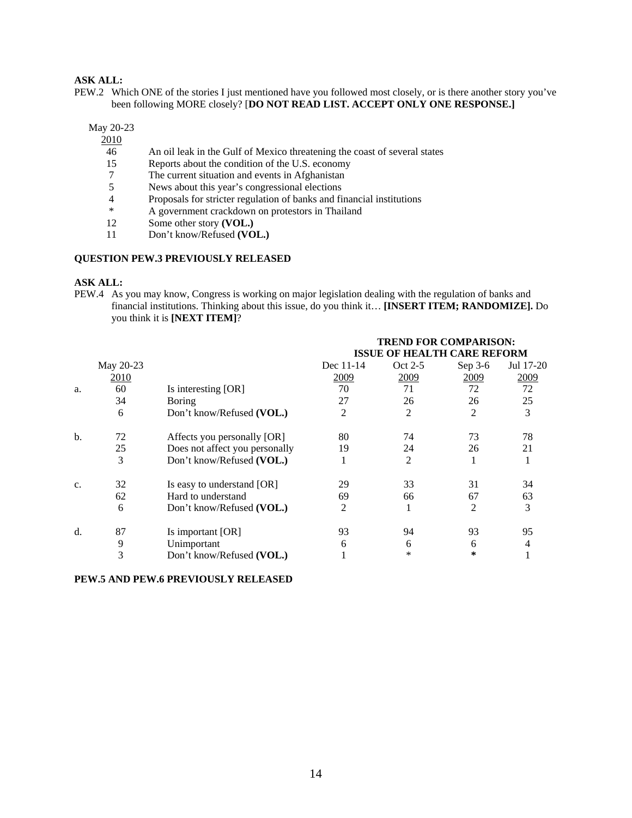# **ASK ALL:**

PEW.2 Which ONE of the stories I just mentioned have you followed most closely, or is there another story you've been following MORE closely? [**DO NOT READ LIST. ACCEPT ONLY ONE RESPONSE.]** 

May 20-23

2010

- 46 An oil leak in the Gulf of Mexico threatening the coast of several states
- 15 Reports about the condition of the U.S. economy
- 7 The current situation and events in Afghanistan 5 News about this year's congressional elections
- News about this year's congressional elections
- 4 Proposals for stricter regulation of banks and financial institutions<br>
<sup>\*</sup> A government crackdown on protestors in Thailand
- \* A government crackdown on protestors in Thailand<br>12 Some other story (VOL.)
- Some other story **(VOL.)**
- 11 Don't know/Refused **(VOL.)**

### **QUESTION PEW.3 PREVIOUSLY RELEASED**

### **ASK ALL:**

PEW.4 As you may know, Congress is working on major legislation dealing with the regulation of banks and financial institutions. Thinking about this issue, do you think it… **[INSERT ITEM; RANDOMIZE].** Do you think it is **[NEXT ITEM]**?

|    |           |                                |           | <b>TREND FOR COMPARISON:</b><br><b>ISSUE OF HEALTH CARE REFORM</b> |         |           |
|----|-----------|--------------------------------|-----------|--------------------------------------------------------------------|---------|-----------|
|    | May 20-23 |                                | Dec 11-14 | Oct 2-5                                                            | Sep 3-6 | Jul 17-20 |
|    | 2010      |                                | 2009      | 2009                                                               | 2009    | 2009      |
| a. | 60        | Is interesting [OR]            | 70        | 71                                                                 | 72      | 72        |
|    | 34        | <b>Boring</b>                  | 27        | 26                                                                 | 26      | 25        |
|    | 6         | Don't know/Refused (VOL.)      | 2         | 2                                                                  | 2       | 3         |
| b. | 72        | Affects you personally [OR]    | 80        | 74                                                                 | 73      | 78        |
|    | 25        | Does not affect you personally | 19        | 24                                                                 | 26      | 21        |
|    | 3         | Don't know/Refused (VOL.)      |           | 2                                                                  |         |           |
| c. | 32        | Is easy to understand [OR]     | 29        | 33                                                                 | 31      | 34        |
|    | 62        | Hard to understand             | 69        | 66                                                                 | 67      | 63        |
|    | 6         | Don't know/Refused (VOL.)      | 2         |                                                                    | 2       | 3         |
| d. | 87        | Is important [OR]              | 93        | 94                                                                 | 93      | 95        |
|    | 9         | Unimportant                    | 6         | 6                                                                  | 6       | 4         |
|    | 3         | Don't know/Refused (VOL.)      |           | $\ast$                                                             | ∗       |           |

### **PEW.5 AND PEW.6 PREVIOUSLY RELEASED**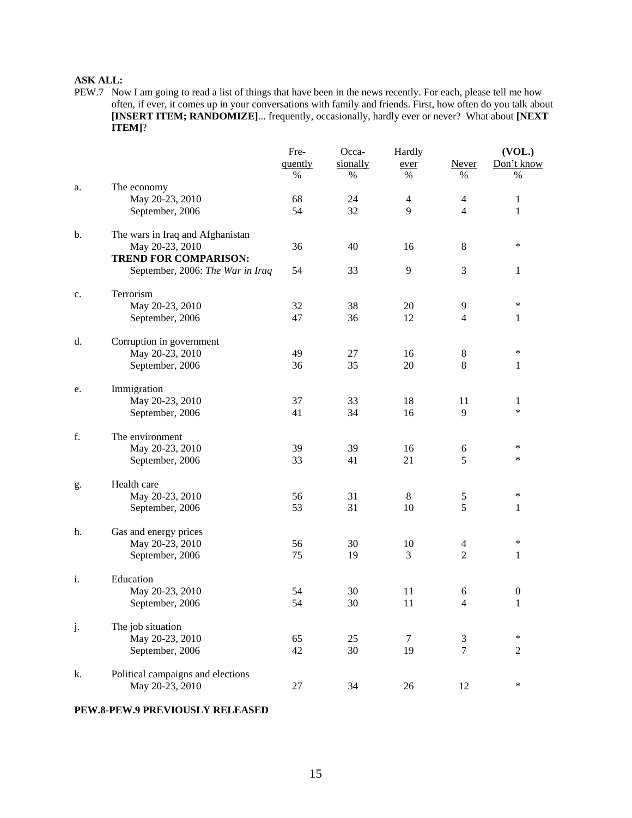# **ASK ALL:**

PEW.7 Now I am going to read a list of things that have been in the news recently. For each, please tell me how often, if ever, it comes up in your conversations with family and friends. First, how often do you talk about **[INSERT ITEM; RANDOMIZE]**... frequently, occasionally, hardly ever or never? What about **[NEXT ITEM]**?

|    |                                                 | Fre-    | Occa-    | Hardly         |                | (VOL.)           |  |
|----|-------------------------------------------------|---------|----------|----------------|----------------|------------------|--|
|    |                                                 | quently | sionally | ever           | Never          | Don't know       |  |
|    |                                                 | $\%$    | %        | $\%$           | $\%$           | $\%$             |  |
| a. | The economy                                     |         |          |                |                |                  |  |
|    | May 20-23, 2010                                 | 68      | 24       | 4              | 4              | 1                |  |
|    | September, 2006                                 | 54      | 32       | 9              | $\overline{4}$ | 1                |  |
| b. | The wars in Iraq and Afghanistan                |         |          |                |                |                  |  |
|    | May 20-23, 2010<br><b>TREND FOR COMPARISON:</b> | 36      | 40       | 16             | 8              | $\ast$           |  |
|    | September, 2006: The War in Iraq                | 54      | 33       | $\overline{9}$ | 3              | 1                |  |
| c. | Terrorism                                       |         |          |                |                |                  |  |
|    | May 20-23, 2010                                 | 32      | 38       | 20             | 9              | $\ast$           |  |
|    | September, 2006                                 | 47      | 36       | 12             | $\overline{4}$ | $\mathbf{1}$     |  |
| d. | Corruption in government                        |         |          |                |                |                  |  |
|    | May 20-23, 2010                                 | 49      | 27       | 16             | 8              | $\ast$           |  |
|    | September, 2006                                 | 36      | 35       | 20             | 8              | 1                |  |
| e. | Immigration                                     |         |          |                |                |                  |  |
|    | May 20-23, 2010                                 | 37      | 33       | 18             | 11             | 1                |  |
|    | September, 2006                                 | 41      | 34       | 16             | 9              | $\ast$           |  |
| f. | The environment                                 |         |          |                |                |                  |  |
|    | May 20-23, 2010                                 | 39      | 39       | 16             | 6              | $\ast$           |  |
|    | September, 2006                                 | 33      | 41       | 21             | 5              | $\ast$           |  |
| g. | Health care                                     |         |          |                |                |                  |  |
|    | May 20-23, 2010                                 | 56      | 31       | $\,8\,$        | 5              | $\ast$           |  |
|    | September, 2006                                 | 53      | 31       | 10             | 5              | 1                |  |
| h. | Gas and energy prices                           |         |          |                |                |                  |  |
|    | May 20-23, 2010                                 | 56      | 30       | 10             | 4              | $\ast$           |  |
|    | September, 2006                                 | 75      | 19       | 3              | $\overline{2}$ | 1                |  |
| i. | Education                                       |         |          |                |                |                  |  |
|    | May 20-23, 2010                                 | 54      | 30       | 11             | 6              | $\boldsymbol{0}$ |  |
|    | September, 2006                                 | 54      | 30       | 11             | $\overline{4}$ | 1                |  |
| j. | The job situation                               |         |          |                |                |                  |  |
|    | May 20-23, 2010                                 | 65      | 25       | 7              | 3              | ∗                |  |
|    | September, 2006                                 | 42      | 30       | 19             | $\overline{7}$ | $\mathfrak{2}$   |  |
| k. | Political campaigns and elections               |         |          |                |                |                  |  |
|    | May 20-23, 2010                                 | $27\,$  | 34       | 26             | 12             | $\ast$           |  |

### **PEW.8-PEW.9 PREVIOUSLY RELEASED**